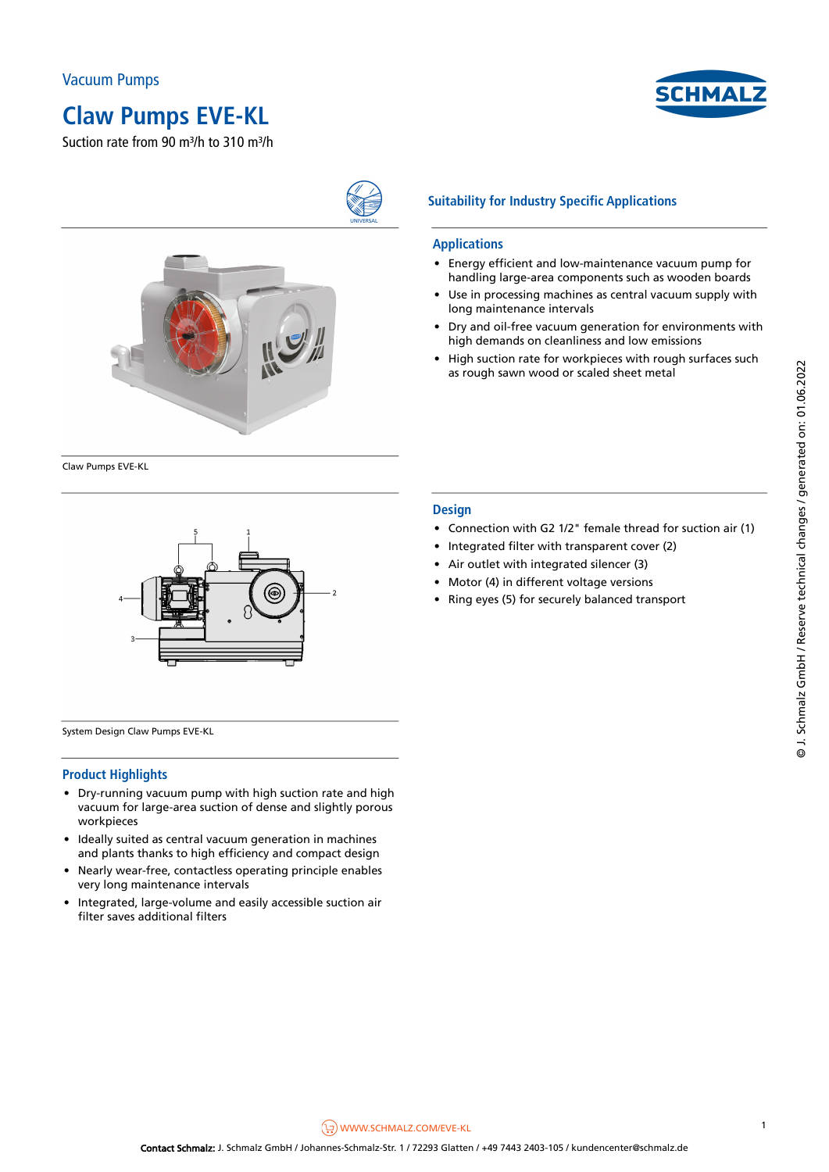

Suction rate from 90 m<sup>3</sup>/h to 310 m<sup>3/h</sup>



Claw Pumps EVE-KL



System Design Claw Pumps EVE-KL

#### **Product Highlights**

- Dry-running vacuum pump with high suction rate and high vacuum for large-area suction of dense and slightly porous workpieces
- Ideally suited as central vacuum generation in machines and plants thanks to high efficiency and compact design
- Nearly wear-free, contactless operating principle enables very long maintenance intervals
- Integrated, large-volume and easily accessible suction air filter saves additional filters

### **Suitability for Industry Specific Applications**

#### **Applications**

• Energy efficient and low-maintenance vacuum pump for handling large-area components such as wooden boards

СНМА

- Use in processing machines as central vacuum supply with long maintenance intervals
- Dry and oil-free vacuum generation for environments with high demands on cleanliness and low emissions
- High suction rate for workpieces with rough surfaces such as rough sawn wood or scaled sheet metal

#### **Design**

- Connection with G2 1/2" female thread for suction air (1)
- Integrated filter with transparent cover (2)
- Air outlet with integrated silencer (3)
- Motor (4) in different voltage versions
- Ring eyes (5) for securely balanced transport

 $\left(\frac{1}{2}\right)$ [WWW.SCHMALZ.COM/EVE-KL](https://www.schmalz.com/eve-kl) 1

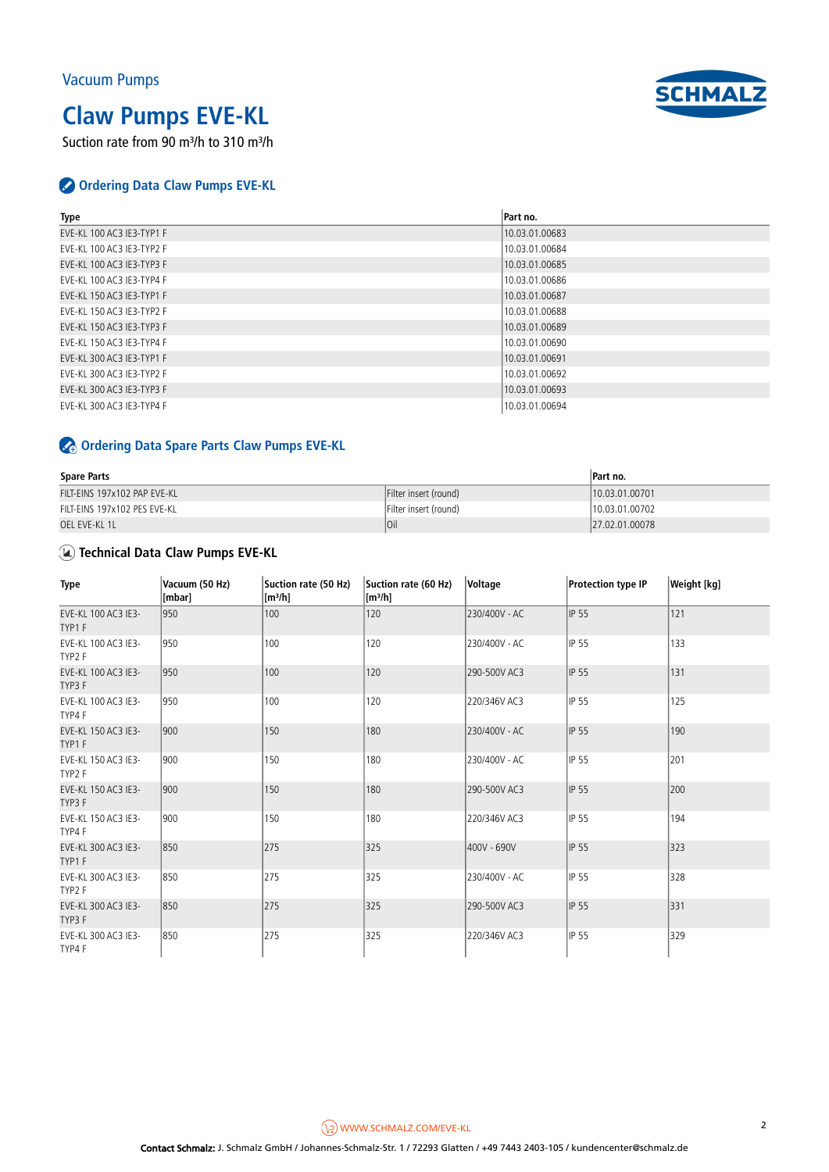# **Claw Pumps EVE-KL**

Suction rate from 90 m<sup>3</sup>/h to 310 m<sup>3</sup>/h



| <b>Type</b>               | Part no.       |
|---------------------------|----------------|
| EVE-KL 100 AC3 IE3-TYP1 F | 10.03.01.00683 |
| EVE-KL 100 AC3 IE3-TYP2 F | 10.03.01.00684 |
| EVE-KL 100 AC3 IE3-TYP3 F | 10.03.01.00685 |
| EVE-KL 100 AC3 IE3-TYP4 F | 10.03.01.00686 |
| EVE-KL 150 AC3 IE3-TYP1 F | 10.03.01.00687 |
| EVE-KL 150 AC3 IE3-TYP2 F | 10.03.01.00688 |
| EVE-KL 150 AC3 IE3-TYP3 F | 10.03.01.00689 |
| EVE-KL 150 AC3 IE3-TYP4 F | 10.03.01.00690 |
| EVE-KL 300 AC3 IE3-TYP1 F | 10.03.01.00691 |
| EVE-KL 300 AC3 IE3-TYP2 F | 10.03.01.00692 |
| EVE-KL 300 AC3 IE3-TYP3 F | 10.03.01.00693 |
| EVE-KL 300 AC3 IE3-TYP4 F | 10.03.01.00694 |

### **Ordering Data Spare Parts Claw Pumps EVE-KL**

| <b>Spare Parts</b>           | Part no.              |                |
|------------------------------|-----------------------|----------------|
| FILT-EINS 197x102 PAP EVE-KL | Filter insert (round) | 10.03.01.00701 |
| FILT-EINS 197x102 PES EVE-KL | Filter insert (round) | 10.03.01.00702 |
| OEL EVE-KL 1L                | loil                  | 27.02.01.00078 |

### **Technical Data Claw Pumps EVE-KL**

| Type                          | Vacuum (50 Hz)<br>[mbar] | Suction rate (50 Hz)<br>[m <sup>3</sup> /h] | Suction rate (60 Hz)<br>$\left[\text{m}^3/\text{h}\right]$ | Voltage       | Protection type IP | <b>Weight</b> [kg] |
|-------------------------------|--------------------------|---------------------------------------------|------------------------------------------------------------|---------------|--------------------|--------------------|
| EVE-KL 100 AC3 IE3-<br>TYP1F  | 950                      | 100                                         | 120                                                        | 230/400V - AC | <b>IP 55</b>       | 121                |
| EVE-KL 100 AC3 IE3-<br>TYP2 F | 950                      | 100                                         | 120                                                        | 230/400V - AC | IP 55              | 133                |
| EVE-KL 100 AC3 IE3-<br>TYP3 F | 950                      | 100                                         | 120                                                        | 290-500V AC3  | <b>IP 55</b>       | 131                |
| EVE-KL 100 AC3 IE3-<br>TYP4 F | 950                      | 100                                         | 120                                                        | 220/346V AC3  | IP 55              | 125                |
| EVE-KL 150 AC3 IE3-<br>TYP1F  | 1900                     | 150                                         | 180                                                        | 230/400V - AC | IP 55              | 190                |
| EVE-KL 150 AC3 IE3-<br>TYP2 F | 900                      | 150                                         | 180                                                        | 230/400V - AC | <b>IP 55</b>       | 201                |
| EVE-KL 150 AC3 IE3-<br>TYP3 F | 900                      | 150                                         | 180                                                        | 290-500V AC3  | <b>IP 55</b>       | 200                |
| EVE-KL 150 AC3 IE3-<br>TYP4 F | 900                      | 150                                         | 180                                                        | 220/346V AC3  | IP 55              | 194                |
| EVE-KL 300 AC3 IE3-<br>TYP1F  | 850                      | 275                                         | 325                                                        | 400V - 690V   | <b>IP 55</b>       | 323                |
| EVE-KL 300 AC3 IE3-<br>TYP2 F | 850                      | 275                                         | 325                                                        | 230/400V - AC | <b>IP 55</b>       | 328                |
| EVE-KL 300 AC3 IE3-<br>TYP3 F | 850                      | 275                                         | 325                                                        | 290-500V AC3  | <b>IP 55</b>       | 331                |
| EVE-KL 300 AC3 IE3-<br>TYP4 F | 850                      | 275                                         | 325                                                        | 220/346V AC3  | IP 55              | 329                |

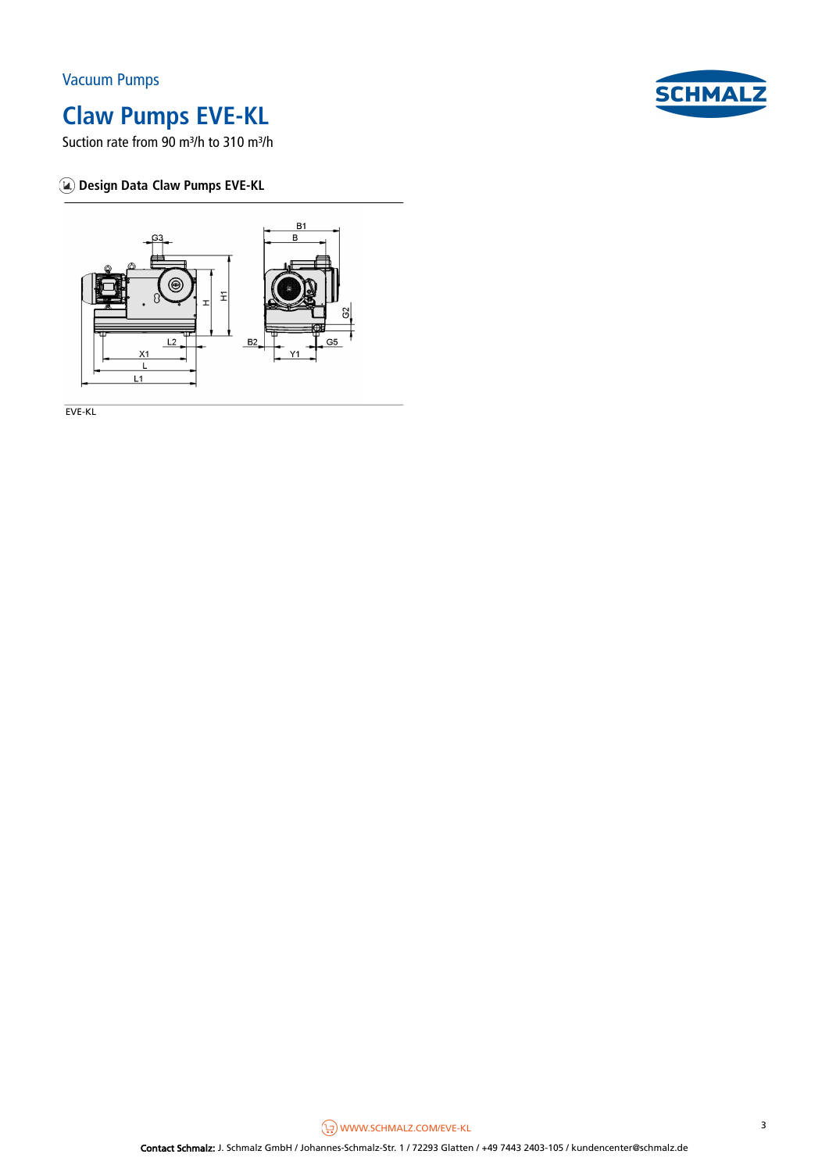# **SCHMAL**

## **Claw Pumps EVE-KL**

Suction rate from 90 m<sup>3</sup>/h to 310 m<sup>3</sup>/h

### **Design Data Claw Pumps EVE-KL**



EVE-KL